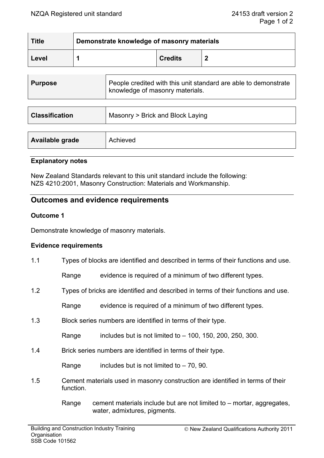| <b>Title</b> | Demonstrate knowledge of masonry materials |                |   |
|--------------|--------------------------------------------|----------------|---|
| Level        |                                            | <b>Credits</b> | £ |

| <b>Purpose</b>        | People credited with this unit standard are able to demonstrate<br>knowledge of masonry materials. |
|-----------------------|----------------------------------------------------------------------------------------------------|
| <b>Classification</b> | Masonry > Brick and Block Laying                                                                   |

| Available grade | Achieved |
|-----------------|----------|
|                 |          |

## **Explanatory notes**

New Zealand Standards relevant to this unit standard include the following: NZS 4210:2001, Masonry Construction: Materials and Workmanship.

# **Outcomes and evidence requirements**

## **Outcome 1**

Demonstrate knowledge of masonry materials.

## **Evidence requirements**

1.1 Types of blocks are identified and described in terms of their functions and use.

Range evidence is required of a minimum of two different types.

1.2 Types of bricks are identified and described in terms of their functions and use.

Range evidence is required of a minimum of two different types.

1.3 Block series numbers are identified in terms of their type.

Range includes but is not limited to  $-$  100, 150, 200, 250, 300.

1.4 Brick series numbers are identified in terms of their type.

Range includes but is not limited to  $-70$ , 90.

- 1.5 Cement materials used in masonry construction are identified in terms of their function.
	- Range cement materials include but are not limited to  $-$  mortar, aggregates, water, admixtures, pigments.